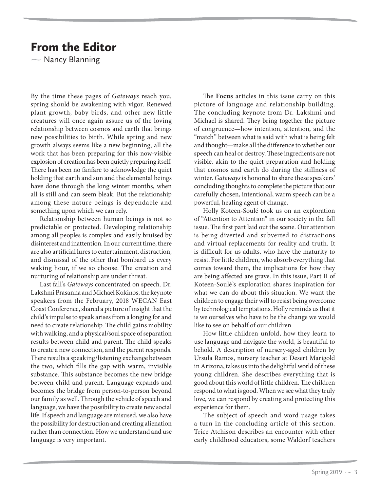## From the Editor

 $\overline{\phantom{0}}$ Nancy Blanning

By the time these pages of Gateways reach you, spring should be awakening with vigor. Renewed plant growth, baby birds, and other new little creatures will once again assure us of the loving relationship between cosmos and earth that brings new possibilities to birth. While spring and new growth always seems like a new beginning, all the work that has been preparing for this now-visible explosion of creation has been quietly preparing itself. There has been no fanfare to acknowledge the quiet holding that earth and sun and the elemental beings have done through the long winter months, when all is still and can seem bleak. But the relationship among these nature beings is dependable and something upon which we can rely.

Relationship between human beings is not so predictable or protected. Developing relationship among all peoples is complex and easily bruised by disinterest and inattention. In our current time, there are also artificial lures to entertainment, distraction, and dismissal of the other that bombard us every waking hour, if we so choose. The creation and nurturing of relationship are under threat.

Last fall's Gateways concentrated on speech. Dr. Lakshmi Prasanna and Michael Kokinos, the keynote speakers from the February, 2018 WECAN East Coast Conference, shared a picture of insight that the child's impulse to speak arises from a longing for and need to create relationship. The child gains mobility with walking, and a physical/soul space of separation results between child and parent. The child speaks to create a new connection, and the parent responds. There results a speaking/listening exchange between the two, which fills the gap with warm, invisible substance. This substance becomes the new bridge between child and parent. Language expands and becomes the bridge from person-to-person beyond our family as well. Through the vehicle of speech and language, we have the possibility to create new social life. If speech and language are misused, we also have the possibility for destruction and creating alienation rather than connection. How we understand and use language is very important.

The **Focus** articles in this issue carry on this picture of language and relationship building. The concluding keynote from Dr. Lakshmi and Michael is shared. They bring together the picture of congruence—how intention, attention, and the "match" between what is said with what is being felt and thought—make all the difference to whether our speech can heal or destroy. These ingredients are not visible, akin to the quiet preparation and holding that cosmos and earth do during the stillness of winter. Gateways is honored to share these speakers' concluding thoughts to complete the picture that our carefully chosen, intentional, warm speech can be a powerful, healing agent of change.

Holly Koteen-Soulé took us on an exploration of "Attention to Attention" in our society in the fall issue. The first part laid out the scene. Our attention is being diverted and subverted to distractions and virtual replacements for reality and truth. It is difficult for us adults, who have the maturity to resist. For little children, who absorb everything that comes toward them, the implications for how they are being affected are grave. In this issue, Part II of Koteen-Soulé's exploration shares inspiration for what we can do about this situation. We want the children to engage their will to resist being overcome by technological temptations. Holly reminds us that it is we ourselves who have to be the change we would like to see on behalf of our children.

How little children unfold, how they learn to use language and navigate the world, is beautiful to behold. A description of nursery-aged children by Ursula Ramos, nursery teacher at Desert Marigold in Arizona, takes us into the delightful world of these young children. She describes everything that is good about this world of little children. The children respond to what is good. When we see what they truly love, we can respond by creating and protecting this experience for them.

The subject of speech and word usage takes a turn in the concluding article of this section. Trice Atchison describes an encounter with other early childhood educators, some Waldorf teachers